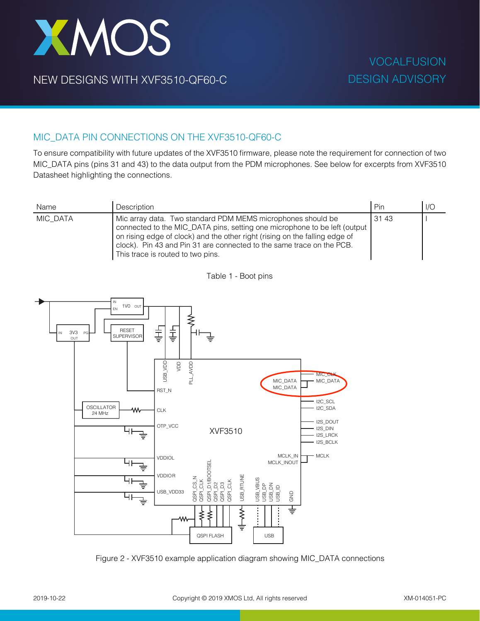## XMOS

NEW DESIGNS WITH XVF3510-QF60-C

## MIC\_DATA PIN CONNECTIONS ON THE XVF3510-QF60-C

To ensure compatibility with future updates of the XVF3510 firmware, please note the requirement for connection of two MIC\_DATA pins (pins 31 and 43) to the data output from the PDM microphones. See below for excerpts from XVF3510 Datasheet highlighting the connections.

| Name     | Description                                                                                                                                                                                                                                                                                                                           | Pin   | I/O |
|----------|---------------------------------------------------------------------------------------------------------------------------------------------------------------------------------------------------------------------------------------------------------------------------------------------------------------------------------------|-------|-----|
| MIC DATA | Mic array data. Two standard PDM MEMS microphones should be<br>connected to the MIC_DATA pins, setting one microphone to be left (output<br>on rising edge of clock) and the other right (rising on the falling edge of<br>clock). Pin 43 and Pin 31 are connected to the same trace on the PCB.<br>This trace is routed to two pins. | 31 43 |     |

Table 1 - Boot pins



Figure 2 - XVF3510 example application diagram showing MIC\_DATA connections